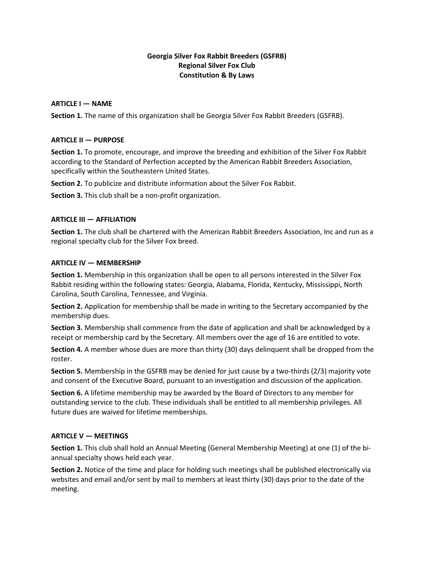# **Georgia Silver Fox Rabbit Breeders (GSFRB) Regional Silver Fox Club Constitution & By Laws**

## **ARTICLE I — NAME**

**Section 1.** The name of this organization shall be Georgia Silver Fox Rabbit Breeders (GSFRB).

#### **ARTICLE II — PURPOSE**

**Section 1.** To promote, encourage, and improve the breeding and exhibition of the Silver Fox Rabbit according to the Standard of Perfection accepted by the American Rabbit Breeders Association, specifically within the Southeastern United States.

**Section 2.** To publicize and distribute information about the Silver Fox Rabbit.

**Section 3.** This club shall be a non-profit organization.

#### **ARTICLE III — AFFILIATION**

**Section 1.** The club shall be chartered with the American Rabbit Breeders Association, Inc and run as a regional specialty club for the Silver Fox breed.

#### **ARTICLE IV — MEMBERSHIP**

**Section 1.** Membership in this organization shall be open to all persons interested in the Silver Fox Rabbit residing within the following states: Georgia, Alabama, Florida, Kentucky, Mississippi, North Carolina, South Carolina, Tennessee, and Virginia.

**Section 2.** Application for membership shall be made in writing to the Secretary accompanied by the membership dues.

**Section 3.** Membership shall commence from the date of application and shall be acknowledged by a receipt or membership card by the Secretary. All members over the age of 16 are entitled to vote.

**Section 4.** A member whose dues are more than thirty (30) days delinquent shall be dropped from the roster.

**Section 5.** Membership in the GSFRB may be denied for just cause by a two-thirds (2/3) majority vote and consent of the Executive Board, pursuant to an investigation and discussion of the application.

**Section 6.** A lifetime membership may be awarded by the Board of Directors to any member for outstanding service to the club. These individuals shall be entitled to all membership privileges. All future dues are waived for lifetime memberships.

#### **ARTICLE V — MEETINGS**

**Section 1.** This club shall hold an Annual Meeting (General Membership Meeting) at one (1) of the biannual specialty shows held each year.

**Section 2.** Notice of the time and place for holding such meetings shall be published electronically via websites and email and/or sent by mail to members at least thirty (30) days prior to the date of the meeting.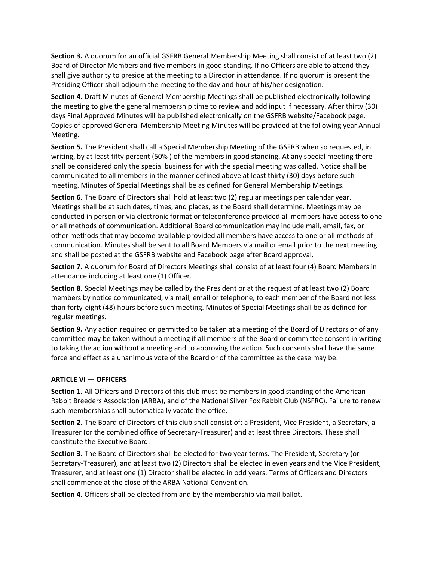**Section 3.** A quorum for an official GSFRB General Membership Meeting shall consist of at least two (2) Board of Director Members and five members in good standing. If no Officers are able to attend they shall give authority to preside at the meeting to a Director in attendance. If no quorum is present the Presiding Officer shall adjourn the meeting to the day and hour of his/her designation.

**Section 4.** Draft Minutes of General Membership Meetings shall be published electronically following the meeting to give the general membership time to review and add input if necessary. After thirty (30) days Final Approved Minutes will be published electronically on the GSFRB website/Facebook page. Copies of approved General Membership Meeting Minutes will be provided at the following year Annual Meeting.

**Section 5.** The President shall call a Special Membership Meeting of the GSFRB when so requested, in writing, by at least fifty percent (50% ) of the members in good standing. At any special meeting there shall be considered only the special business for with the special meeting was called. Notice shall be communicated to all members in the manner defined above at least thirty (30) days before such meeting. Minutes of Special Meetings shall be as defined for General Membership Meetings.

**Section 6.** The Board of Directors shall hold at least two (2) regular meetings per calendar year. Meetings shall be at such dates, times, and places, as the Board shall determine. Meetings may be conducted in person or via electronic format or teleconference provided all members have access to one or all methods of communication. Additional Board communication may include mail, email, fax, or other methods that may become available provided all members have access to one or all methods of communication. Minutes shall be sent to all Board Members via mail or email prior to the next meeting and shall be posted at the GSFRB website and Facebook page after Board approval.

**Section 7.** A quorum for Board of Directors Meetings shall consist of at least four (4) Board Members in attendance including at least one (1) Officer.

**Section 8.** Special Meetings may be called by the President or at the request of at least two (2) Board members by notice communicated, via mail, email or telephone, to each member of the Board not less than forty-eight (48) hours before such meeting. Minutes of Special Meetings shall be as defined for regular meetings.

**Section 9.** Any action required or permitted to be taken at a meeting of the Board of Directors or of any committee may be taken without a meeting if all members of the Board or committee consent in writing to taking the action without a meeting and to approving the action. Such consents shall have the same force and effect as a unanimous vote of the Board or of the committee as the case may be.

## **ARTICLE VI — OFFICERS**

**Section 1.** All Officers and Directors of this club must be members in good standing of the American Rabbit Breeders Association (ARBA), and of the National Silver Fox Rabbit Club (NSFRC). Failure to renew such memberships shall automatically vacate the office.

**Section 2.** The Board of Directors of this club shall consist of: a President, Vice President, a Secretary, a Treasurer (or the combined office of Secretary-Treasurer) and at least three Directors. These shall constitute the Executive Board.

**Section 3.** The Board of Directors shall be elected for two year terms. The President, Secretary (or Secretary-Treasurer), and at least two (2) Directors shall be elected in even years and the Vice President, Treasurer, and at least one (1) Director shall be elected in odd years. Terms of Officers and Directors shall commence at the close of the ARBA National Convention.

**Section 4.** Officers shall be elected from and by the membership via mail ballot.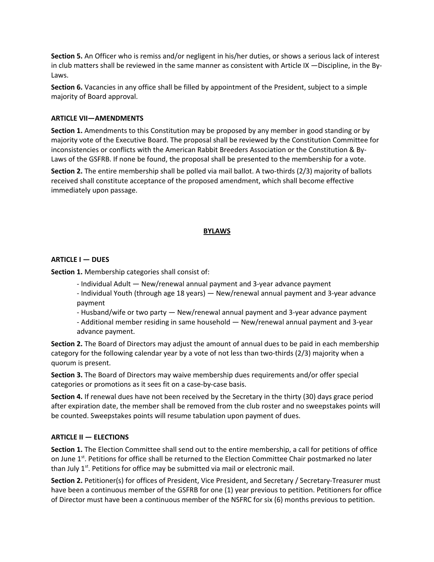**Section 5.** An Officer who is remiss and/or negligent in his/her duties, or shows a serious lack of interest in club matters shall be reviewed in the same manner as consistent with Article IX —Discipline, in the By-Laws.

**Section 6.** Vacancies in any office shall be filled by appointment of the President, subject to a simple majority of Board approval.

## **ARTICLE VII—AMENDMENTS**

**Section 1.** Amendments to this Constitution may be proposed by any member in good standing or by majority vote of the Executive Board. The proposal shall be reviewed by the Constitution Committee for inconsistencies or conflicts with the American Rabbit Breeders Association or the Constitution & By-Laws of the GSFRB. If none be found, the proposal shall be presented to the membership for a vote.

**Section 2.** The entire membership shall be polled via mail ballot. A two-thirds (2/3) majority of ballots received shall constitute acceptance of the proposed amendment, which shall become effective immediately upon passage.

#### **BYLAWS**

#### **ARTICLE I — DUES**

**Section 1.** Membership categories shall consist of:

- Individual Adult New/renewal annual payment and 3-year advance payment
- Individual Youth (through age 18 years) New/renewal annual payment and 3-year advance payment
- Husband/wife or two party New/renewal annual payment and 3-year advance payment - Additional member residing in same household — New/renewal annual payment and 3-year
- advance payment.

**Section 2.** The Board of Directors may adjust the amount of annual dues to be paid in each membership category for the following calendar year by a vote of not less than two-thirds (2/3) majority when a quorum is present.

**Section 3.** The Board of Directors may waive membership dues requirements and/or offer special categories or promotions as it sees fit on a case-by-case basis.

**Section 4.** If renewal dues have not been received by the Secretary in the thirty (30) days grace period after expiration date, the member shall be removed from the club roster and no sweepstakes points will be counted. Sweepstakes points will resume tabulation upon payment of dues.

## **ARTICLE II — ELECTIONS**

**Section 1.** The Election Committee shall send out to the entire membership, a call for petitions of office on June  $1<sup>st</sup>$ . Petitions for office shall be returned to the Election Committee Chair postmarked no later than July  $1<sup>st</sup>$ . Petitions for office may be submitted via mail or electronic mail.

**Section 2.** Petitioner(s) for offices of President, Vice President, and Secretary / Secretary-Treasurer must have been a continuous member of the GSFRB for one (1) year previous to petition. Petitioners for office of Director must have been a continuous member of the NSFRC for six (6) months previous to petition.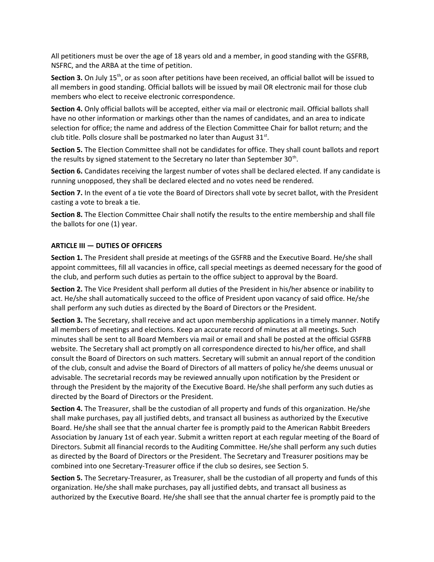All petitioners must be over the age of 18 years old and a member, in good standing with the GSFRB, NSFRC, and the ARBA at the time of petition.

Section 3. On July 15<sup>th</sup>, or as soon after petitions have been received, an official ballot will be issued to all members in good standing. Official ballots will be issued by mail OR electronic mail for those club members who elect to receive electronic correspondence.

**Section 4.** Only official ballots will be accepted, either via mail or electronic mail. Official ballots shall have no other information or markings other than the names of candidates, and an area to indicate selection for office; the name and address of the Election Committee Chair for ballot return; and the club title. Polls closure shall be postmarked no later than August 31 $^{\rm st}$ .

**Section 5.** The Election Committee shall not be candidates for office. They shall count ballots and report the results by signed statement to the Secretary no later than September 30<sup>th</sup>.

**Section 6.** Candidates receiving the largest number of votes shall be declared elected. If any candidate is running unopposed, they shall be declared elected and no votes need be rendered.

**Section 7.** In the event of a tie vote the Board of Directors shall vote by secret ballot, with the President casting a vote to break a tie.

**Section 8.** The Election Committee Chair shall notify the results to the entire membership and shall file the ballots for one (1) year.

## **ARTICLE III — DUTIES OF OFFICERS**

**Section 1.** The President shall preside at meetings of the GSFRB and the Executive Board. He/she shall appoint committees, fill all vacancies in office, call special meetings as deemed necessary for the good of the club, and perform such duties as pertain to the office subject to approval by the Board.

**Section 2.** The Vice President shall perform all duties of the President in his/her absence or inability to act. He/she shall automatically succeed to the office of President upon vacancy of said office. He/she shall perform any such duties as directed by the Board of Directors or the President.

**Section 3.** The Secretary, shall receive and act upon membership applications in a timely manner. Notify all members of meetings and elections. Keep an accurate record of minutes at all meetings. Such minutes shall be sent to all Board Members via mail or email and shall be posted at the official GSFRB website. The Secretary shall act promptly on all correspondence directed to his/her office, and shall consult the Board of Directors on such matters. Secretary will submit an annual report of the condition of the club, consult and advise the Board of Directors of all matters of policy he/she deems unusual or advisable. The secretarial records may be reviewed annually upon notification by the President or through the President by the majority of the Executive Board. He/she shall perform any such duties as directed by the Board of Directors or the President.

**Section 4.** The Treasurer, shall be the custodian of all property and funds of this organization. He/she shall make purchases, pay all justified debts, and transact all business as authorized by the Executive Board. He/she shall see that the annual charter fee is promptly paid to the American Rabbit Breeders Association by January 1st of each year. Submit a written report at each regular meeting of the Board of Directors. Submit all financial records to the Auditing Committee. He/she shall perform any such duties as directed by the Board of Directors or the President. The Secretary and Treasurer positions may be combined into one Secretary-Treasurer office if the club so desires, see Section 5.

**Section 5.** The Secretary-Treasurer, as Treasurer, shall be the custodian of all property and funds of this organization. He/she shall make purchases, pay all justified debts, and transact all business as authorized by the Executive Board. He/she shall see that the annual charter fee is promptly paid to the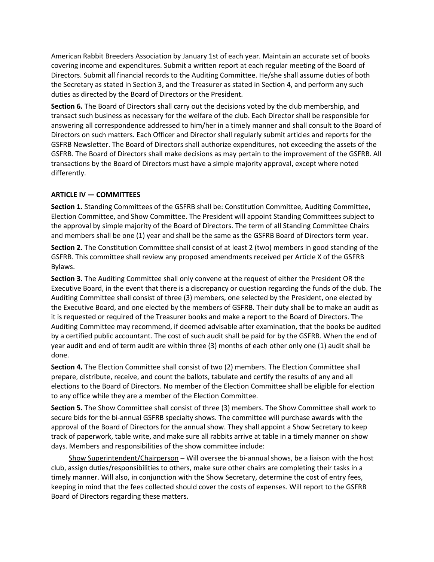American Rabbit Breeders Association by January 1st of each year. Maintain an accurate set of books covering income and expenditures. Submit a written report at each regular meeting of the Board of Directors. Submit all financial records to the Auditing Committee. He/she shall assume duties of both the Secretary as stated in Section 3, and the Treasurer as stated in Section 4, and perform any such duties as directed by the Board of Directors or the President.

**Section 6.** The Board of Directors shall carry out the decisions voted by the club membership, and transact such business as necessary for the welfare of the club. Each Director shall be responsible for answering all correspondence addressed to him/her in a timely manner and shall consult to the Board of Directors on such matters. Each Officer and Director shall regularly submit articles and reports for the GSFRB Newsletter. The Board of Directors shall authorize expenditures, not exceeding the assets of the GSFRB. The Board of Directors shall make decisions as may pertain to the improvement of the GSFRB. All transactions by the Board of Directors must have a simple majority approval, except where noted differently.

# **ARTICLE IV — COMMITTEES**

**Section 1.** Standing Committees of the GSFRB shall be: Constitution Committee, Auditing Committee, Election Committee, and Show Committee. The President will appoint Standing Committees subject to the approval by simple majority of the Board of Directors. The term of all Standing Committee Chairs and members shall be one (1) year and shall be the same as the GSFRB Board of Directors term year.

**Section 2.** The Constitution Committee shall consist of at least 2 (two) members in good standing of the GSFRB. This committee shall review any proposed amendments received per Article X of the GSFRB Bylaws.

**Section 3.** The Auditing Committee shall only convene at the request of either the President OR the Executive Board, in the event that there is a discrepancy or question regarding the funds of the club. The Auditing Committee shall consist of three (3) members, one selected by the President, one elected by the Executive Board, and one elected by the members of GSFRB. Their duty shall be to make an audit as it is requested or required of the Treasurer books and make a report to the Board of Directors. The Auditing Committee may recommend, if deemed advisable after examination, that the books be audited by a certified public accountant. The cost of such audit shall be paid for by the GSFRB. When the end of year audit and end of term audit are within three (3) months of each other only one (1) audit shall be done.

**Section 4.** The Election Committee shall consist of two (2) members. The Election Committee shall prepare, distribute, receive, and count the ballots, tabulate and certify the results of any and all elections to the Board of Directors. No member of the Election Committee shall be eligible for election to any office while they are a member of the Election Committee.

**Section 5.** The Show Committee shall consist of three (3) members. The Show Committee shall work to secure bids for the bi-annual GSFRB specialty shows. The committee will purchase awards with the approval of the Board of Directors for the annual show. They shall appoint a Show Secretary to keep track of paperwork, table write, and make sure all rabbits arrive at table in a timely manner on show days. Members and responsibilities of the show committee include:

 Show Superintendent/Chairperson – Will oversee the bi-annual shows, be a liaison with the host club, assign duties/responsibilities to others, make sure other chairs are completing their tasks in a timely manner. Will also, in conjunction with the Show Secretary, determine the cost of entry fees, keeping in mind that the fees collected should cover the costs of expenses. Will report to the GSFRB Board of Directors regarding these matters.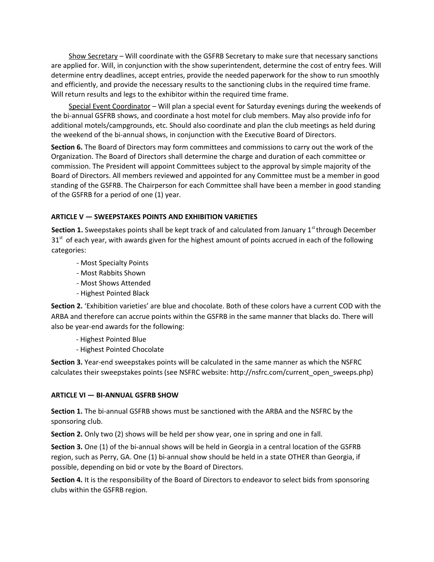Show Secretary – Will coordinate with the GSFRB Secretary to make sure that necessary sanctions are applied for. Will, in conjunction with the show superintendent, determine the cost of entry fees. Will determine entry deadlines, accept entries, provide the needed paperwork for the show to run smoothly and efficiently, and provide the necessary results to the sanctioning clubs in the required time frame. Will return results and legs to the exhibitor within the required time frame.

 Special Event Coordinator – Will plan a special event for Saturday evenings during the weekends of the bi-annual GSFRB shows, and coordinate a host motel for club members. May also provide info for additional motels/campgrounds, etc. Should also coordinate and plan the club meetings as held during the weekend of the bi-annual shows, in conjunction with the Executive Board of Directors.

**Section 6.** The Board of Directors may form committees and commissions to carry out the work of the Organization. The Board of Directors shall determine the charge and duration of each committee or commission. The President will appoint Committees subject to the approval by simple majority of the Board of Directors. All members reviewed and appointed for any Committee must be a member in good standing of the GSFRB. The Chairperson for each Committee shall have been a member in good standing of the GSFRB for a period of one (1) year.

# **ARTICLE V — SWEEPSTAKES POINTS AND EXHIBITION VARIETIES**

**Section 1.** Sweepstakes points shall be kept track of and calculated from January 1<sup>st</sup> through December  $31<sup>st</sup>$  of each year, with awards given for the highest amount of points accrued in each of the following categories:

- Most Specialty Points
- Most Rabbits Shown
- Most Shows Attended
- Highest Pointed Black

**Section 2.** 'Exhibition varieties' are blue and chocolate. Both of these colors have a current COD with the ARBA and therefore can accrue points within the GSFRB in the same manner that blacks do. There will also be year-end awards for the following:

- Highest Pointed Blue
- Highest Pointed Chocolate

**Section 3.** Year-end sweepstakes points will be calculated in the same manner as which the NSFRC calculates their sweepstakes points (see NSFRC website: http://nsfrc.com/current\_open\_sweeps.php)

## **ARTICLE VI — BI-ANNUAL GSFRB SHOW**

**Section 1.** The bi-annual GSFRB shows must be sanctioned with the ARBA and the NSFRC by the sponsoring club.

**Section 2.** Only two (2) shows will be held per show year, one in spring and one in fall.

**Section 3.** One (1) of the bi-annual shows will be held in Georgia in a central location of the GSFRB region, such as Perry, GA. One (1) bi-annual show should be held in a state OTHER than Georgia, if possible, depending on bid or vote by the Board of Directors.

**Section 4.** It is the responsibility of the Board of Directors to endeavor to select bids from sponsoring clubs within the GSFRB region.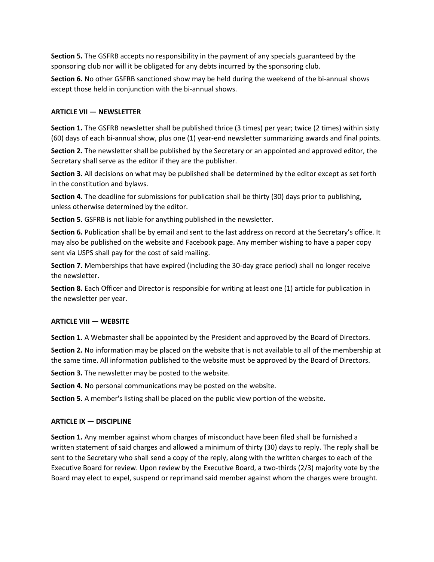**Section 5.** The GSFRB accepts no responsibility in the payment of any specials guaranteed by the sponsoring club nor will it be obligated for any debts incurred by the sponsoring club.

**Section 6.** No other GSFRB sanctioned show may be held during the weekend of the bi-annual shows except those held in conjunction with the bi-annual shows.

## **ARTICLE VII — NEWSLETTER**

**Section 1.** The GSFRB newsletter shall be published thrice (3 times) per year; twice (2 times) within sixty (60) days of each bi-annual show, plus one (1) year-end newsletter summarizing awards and final points.

**Section 2.** The newsletter shall be published by the Secretary or an appointed and approved editor, the Secretary shall serve as the editor if they are the publisher.

**Section 3.** All decisions on what may be published shall be determined by the editor except as set forth in the constitution and bylaws.

**Section 4.** The deadline for submissions for publication shall be thirty (30) days prior to publishing, unless otherwise determined by the editor.

**Section 5.** GSFRB is not liable for anything published in the newsletter.

**Section 6.** Publication shall be by email and sent to the last address on record at the Secretary's office. It may also be published on the website and Facebook page. Any member wishing to have a paper copy sent via USPS shall pay for the cost of said mailing.

**Section 7.** Memberships that have expired (including the 30-day grace period) shall no longer receive the newsletter.

**Section 8.** Each Officer and Director is responsible for writing at least one (1) article for publication in the newsletter per year.

## **ARTICLE VIII — WEBSITE**

**Section 1.** A Webmaster shall be appointed by the President and approved by the Board of Directors.

**Section 2.** No information may be placed on the website that is not available to all of the membership at the same time. All information published to the website must be approved by the Board of Directors.

**Section 3.** The newsletter may be posted to the website.

**Section 4.** No personal communications may be posted on the website.

**Section 5.** A member's listing shall be placed on the public view portion of the website.

## **ARTICLE IX — DISCIPLINE**

**Section 1.** Any member against whom charges of misconduct have been filed shall be furnished a written statement of said charges and allowed a minimum of thirty (30) days to reply. The reply shall be sent to the Secretary who shall send a copy of the reply, along with the written charges to each of the Executive Board for review. Upon review by the Executive Board, a two-thirds (2/3) majority vote by the Board may elect to expel, suspend or reprimand said member against whom the charges were brought.